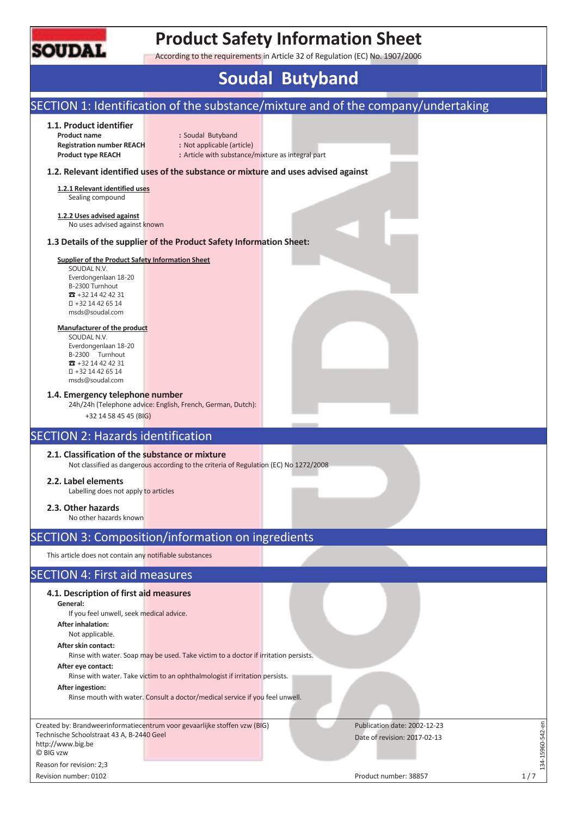

## **Product Safety Information Sheet**

According to the requirements in Article 32 of Regulation (EC) No. 1907/2006

# **Soudal Butyband**

#### SECTION 1: Identification of the substance/mixture and of the company/undertaking **1.1. Product identifier Product name** : Soudal Butyband **Registration number REACH :** Not applicable (article) **Product type REACH** : Article with substance/mixture as integral part **1.2. Relevant identified uses of the substance or mixture and uses advised against 1.2.1 Relevant identified uses**  Sealing compound **1.2.2 Uses advised against**  No uses advised against known **1.3 Details of the supplier of the Product Safety Information Sheet: Supplier of the Product Safety Information Sheet**  SOUDAL N.V. Everdongenlaan 18-20 B-2300 Turnhout  $\pi$  +32 14 42 42 31 +32 14 42 65 14 msds@soudal.com **Manufacturer of the product**  SOUDAL N.V. Everdongenlaan 18-20 B-2300 Turnhout  $73 + 32 14 42 42 31$  +32 14 42 65 14 msds@soudal.com **1.4. Emergency telephone number**  24h/24h (Telephone advice: English, French, German, Dutch): +32 14 58 45 45 (BIG) SECTION 2: Hazards identification **2.1. Classification of the substance or mixture**  Not classified as dangerous according to the criteria of Regulation (EC) No 1272/2008 **2.2. Label elements**  Labelling does not apply to articles **2.3. Other hazards**  No other hazards known SECTION 3: Composition/information on ingredients This article does not contain any notifiable substances SECTION 4: First aid measures **4.1. Description of first aid measures General:**  If you feel unwell, seek medical advice. **After inhalation:**  Not applicable. **After skin contact:**  Rinse with water. Soap may be used. Take victim to a doctor if irritation persists. **After eye contact:**  Rinse with water. Take victim to an ophthalmologist if irritation persists. **After ingestion:**  Rinse mouth with water. Consult a doctor/medical service if you feel unwell. 134-15960-542-en Created by: Brandweerinformatiecentrum voor gevaarlijke stoffen vzw (BIG) Publication date: 2002-12-23  $-15960 - 542 - en$ Technische Schoolstraat 43 A, B-2440 Geel Date of revision: 2017-02-13 http://www.big.be © BIG vzw  $-14$ Reason for revision: 2;3 Revision number: 0102 1/7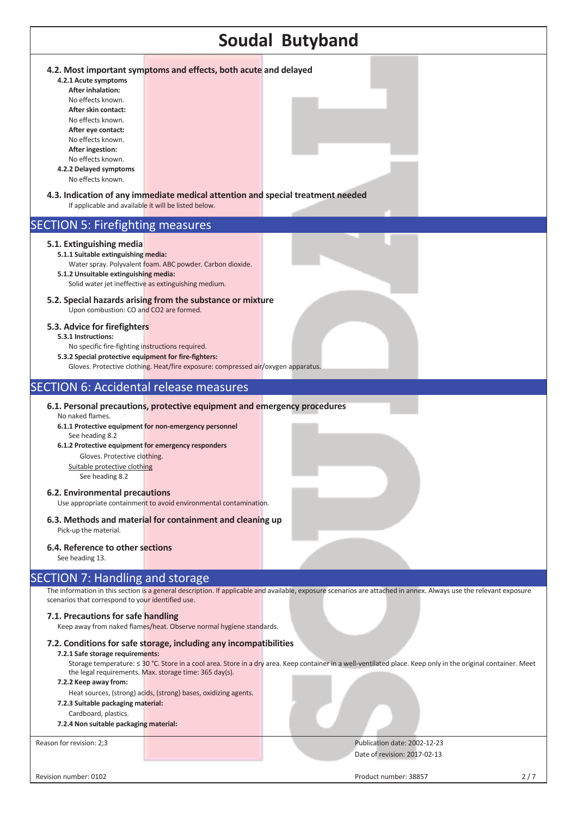| <b>Soudal Butyband</b>                                                                                                                                                                                                                                                                                                                                |                                                                                   |                                                                                                                                                                   |  |  |  |
|-------------------------------------------------------------------------------------------------------------------------------------------------------------------------------------------------------------------------------------------------------------------------------------------------------------------------------------------------------|-----------------------------------------------------------------------------------|-------------------------------------------------------------------------------------------------------------------------------------------------------------------|--|--|--|
| 4.2. Most important symptoms and effects, both acute and delayed<br>4.2.1 Acute symptoms<br><b>After inhalation:</b><br>No effects known.<br>After skin contact:<br>No effects known.<br>After eye contact:<br>No effects known.<br>After ingestion:<br>No effects known.<br>4.2.2 Delayed symptoms<br>No effects known.                              |                                                                                   |                                                                                                                                                                   |  |  |  |
| 4.3. Indication of any immediate medical attention and special treatment needed<br>If applicable and available it will be listed below.                                                                                                                                                                                                               |                                                                                   |                                                                                                                                                                   |  |  |  |
| <b>SECTION 5: Firefighting measures</b>                                                                                                                                                                                                                                                                                                               |                                                                                   |                                                                                                                                                                   |  |  |  |
| 5.1. Extinguishing media<br>5.1.1 Suitable extinguishing media:<br>5.1.2 Unsuitable extinguishing media:<br>Solid water jet ineffective as extinguishing medium.                                                                                                                                                                                      | Water spray. Polyvalent foam. ABC powder. Carbon dioxide.                         |                                                                                                                                                                   |  |  |  |
| 5.2. Special hazards arising from the substance or mixture<br>Upon combustion: CO and CO2 are formed.                                                                                                                                                                                                                                                 |                                                                                   |                                                                                                                                                                   |  |  |  |
| 5.3. Advice for firefighters<br>5.3.1 Instructions:<br>No specific fire-fighting instructions required.<br>5.3.2 Special protective equipment for fire-fighters:                                                                                                                                                                                      | Gloves. Protective clothing. Heat/fire exposure: compressed air/oxygen apparatus. |                                                                                                                                                                   |  |  |  |
| <b>SECTION 6: Accidental release measures</b>                                                                                                                                                                                                                                                                                                         |                                                                                   |                                                                                                                                                                   |  |  |  |
| 6.1. Personal precautions, protective equipment and emergency procedures<br>No naked flames.<br>6.1.1 Protective equipment for non-emergency personnel<br>See heading 8.2<br>6.1.2 Protective equipment for emergency responders<br>Gloves. Protective clothing.<br>Suitable protective clothing<br>See heading 8.2<br>6.2. Environmental precautions | Use appropriate containment to avoid environmental contamination.                 |                                                                                                                                                                   |  |  |  |
| 6.3. Methods and material for containment and cleaning up<br>Pick-up the material.                                                                                                                                                                                                                                                                    |                                                                                   |                                                                                                                                                                   |  |  |  |
| 6.4. Reference to other sections<br>See heading 13.                                                                                                                                                                                                                                                                                                   |                                                                                   |                                                                                                                                                                   |  |  |  |
| <b>SECTION 7: Handling and storage</b><br>scenarios that correspond to your identified use.<br>7.1. Precautions for safe handling                                                                                                                                                                                                                     |                                                                                   | The information in this section is a general description. If applicable and available, exposure scenarios are attached in annex. Always use the relevant exposure |  |  |  |
|                                                                                                                                                                                                                                                                                                                                                       | Keep away from naked flames/heat. Observe normal hygiene standards.               |                                                                                                                                                                   |  |  |  |
| 7.2. Conditions for safe storage, including any incompatibilities<br>7.2.1 Safe storage requirements:<br>the legal requirements. Max. storage time: 365 day(s).<br>7.2.2 Keep away from:<br>7.2.3 Suitable packaging material:<br>Cardboard, plastics.<br>7.2.4 Non suitable packaging material:                                                      | Heat sources, (strong) acids, (strong) bases, oxidizing agents.                   | Storage temperature: ≤ 30 °C. Store in a cool area. Store in a dry area. Keep container in a well-ventilated place. Keep only in the original container. Meet     |  |  |  |
| Reason for revision: 2;3                                                                                                                                                                                                                                                                                                                              |                                                                                   | Publication date: 2002-12-23<br>Date of revision: 2017-02-13                                                                                                      |  |  |  |
| Revision number: 0102                                                                                                                                                                                                                                                                                                                                 |                                                                                   | Product number: 38857<br>2/7                                                                                                                                      |  |  |  |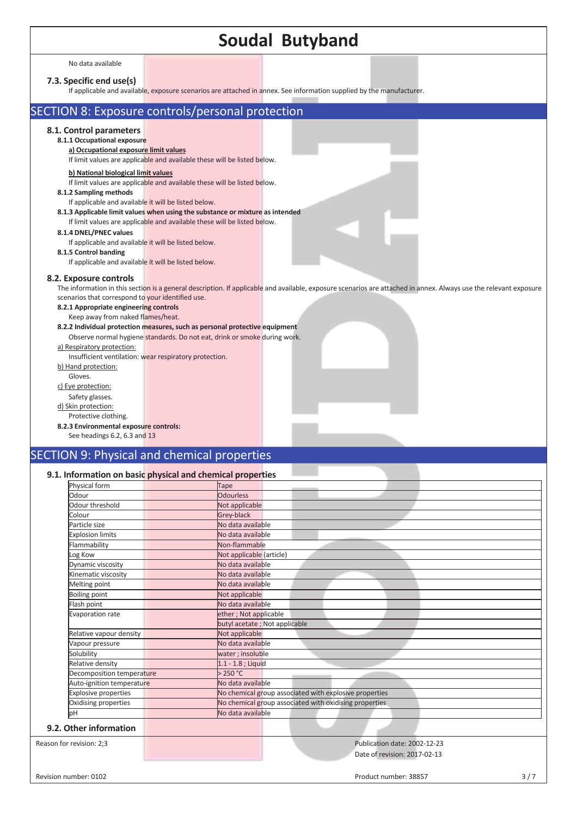# **Soudal Butyband**

No data available

### **7.3. Specific end use(s)**

attached in annex. See information supplied by the manufacture

| ii applicable and available, exposure scenarios are attached in annex. See imormation supplied by the manufacturer.                                                                                                                                              |
|------------------------------------------------------------------------------------------------------------------------------------------------------------------------------------------------------------------------------------------------------------------|
| SECTION 8: Exposure controls/personal protection                                                                                                                                                                                                                 |
| 8.1. Control parameters<br>8.1.1 Occupational exposure<br>a) Occupational exposure limit values<br>If limit values are applicable and available these will be listed below.                                                                                      |
| b) National biological limit values<br>If limit values are applicable and available these will be listed below.<br>8.1.2 Sampling methods<br>If applicable and available it will be listed below.                                                                |
| 8.1.3 Applicable limit values when using the substance or mixture as intended<br>If limit values are applicable and available these will be listed below.<br>8.1.4 DNEL/PNEC values<br>If applicable and available it will be listed below.                      |
| 8.1.5 Control banding<br>If applicable and available it will be listed below.<br>8.2. Exposure controls                                                                                                                                                          |
| The information in this section is a general description. If applicable and available, exposure scenarios are attached in annex. Always use the relevant exposure<br>scenarios that correspond to your identified use.<br>8.2.1 Appropriate engineering controls |
| Keep away from naked flames/heat.<br>8.2.2 Individual protection measures, such as personal protective equipment<br>Observe normal hygiene standards. Do not eat, drink or smoke during work.<br>a) Respiratory protection:                                      |
| Insufficient ventilation: wear respiratory protection.<br>b) Hand protection:<br>Gloves.                                                                                                                                                                         |
| c) Eye protection:<br>Safety glasses.<br>d) Skin protection:<br>Protective clothing.                                                                                                                                                                             |
| 8.2.3 Environmental exposure controls:<br>See headings 6.2, 6.3 and 13                                                                                                                                                                                           |

### SECTION 9: Physical and chemical properties

#### **9.1. Information on basic physical and chemical properties**

| Physical form               | Tape                                                   |
|-----------------------------|--------------------------------------------------------|
| Odour                       | <b>Odourless</b>                                       |
| Odour threshold             | Not applicable                                         |
| Colour                      | Grey-black                                             |
| Particle size               | No data available                                      |
| <b>Explosion limits</b>     | No data available                                      |
| Flammability                | Non-flammable                                          |
| Log Kow                     | Not applicable (article)                               |
| Dynamic viscosity           | No data available                                      |
| Kinematic viscosity         | No data available                                      |
| Melting point               | No data available                                      |
| <b>Boiling point</b>        | Not applicable                                         |
| Flash point                 | No data available                                      |
| Evaporation rate            | ether; Not applicable                                  |
|                             | butyl acetate; Not applicable                          |
| Relative vapour density     | Not applicable                                         |
| Vapour pressure             | No data available                                      |
| Solubility                  | water; insoluble                                       |
| Relative density            | 1.1 - 1.8 ; Liquid                                     |
| Decomposition temperature   | >250 °C                                                |
| Auto-ignition temperature   | No data available                                      |
| <b>Explosive properties</b> | No chemical group associated with explosive properties |
| Oxidising properties        | No chemical group associated with oxidising properties |
| pН                          | No data available                                      |

Reason for revision: 2;3 **Publication date: 2002-12-23** Publication date: 2002-12-23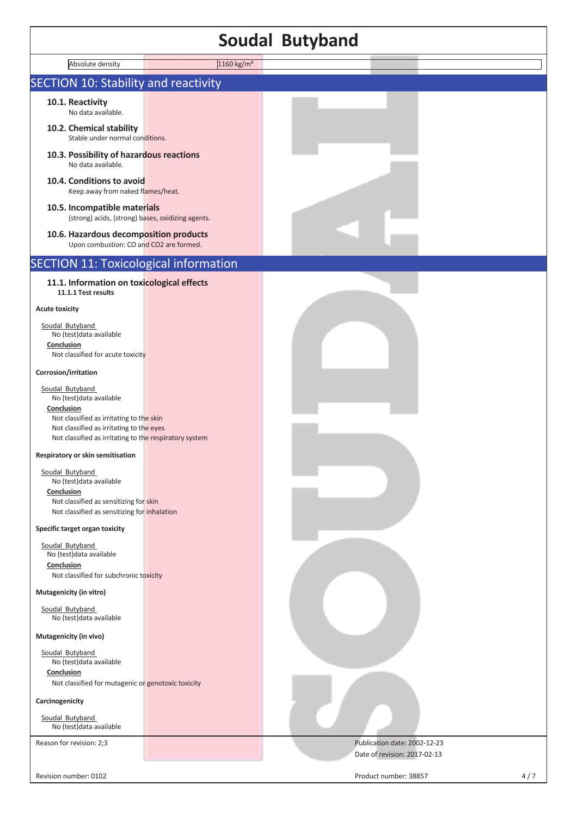### **Soudal Butyband**

|                                                                                                                                                                                                             |                        | <b>Soudal Butyband</b> |  |
|-------------------------------------------------------------------------------------------------------------------------------------------------------------------------------------------------------------|------------------------|------------------------|--|
| Absolute density                                                                                                                                                                                            | 1160 kg/m <sup>3</sup> |                        |  |
| <b>SECTION 10: Stability and reactivity</b>                                                                                                                                                                 |                        |                        |  |
| 10.1. Reactivity<br>No data available.                                                                                                                                                                      |                        |                        |  |
| 10.2. Chemical stability<br>Stable under normal conditions.                                                                                                                                                 |                        |                        |  |
| 10.3. Possibility of hazardous reactions<br>No data available.                                                                                                                                              |                        |                        |  |
| 10.4. Conditions to avoid<br>Keep away from naked flames/heat.                                                                                                                                              |                        |                        |  |
| 10.5. Incompatible materials<br>(strong) acids, (strong) bases, oxidizing agents.                                                                                                                           |                        |                        |  |
| 10.6. Hazardous decomposition products<br>Upon combustion: CO and CO2 are formed.                                                                                                                           |                        |                        |  |
| <b>SECTION 11: Toxicological information</b>                                                                                                                                                                |                        |                        |  |
| 11.1. Information on toxicological effects<br>11.1.1 Test results                                                                                                                                           |                        |                        |  |
| <b>Acute toxicity</b>                                                                                                                                                                                       |                        |                        |  |
| Soudal Butyband<br>No (test) data available<br>Conclusion<br>Not classified for acute toxicity                                                                                                              |                        |                        |  |
| Corrosion/irritation                                                                                                                                                                                        |                        |                        |  |
| Soudal Butyband<br>No (test) data available<br>Conclusion<br>Not classified as irritating to the skin<br>Not classified as irritating to the eyes<br>Not classified as irritating to the respiratory system |                        |                        |  |
| Respiratory or skin sensitisation                                                                                                                                                                           |                        |                        |  |
| Soudal Butyband<br>No (test) data available<br>Conclusion<br>Not classified as sensitizing for skin<br>Not classified as sensitizing for inhalation                                                         |                        |                        |  |
| Specific target organ toxicity                                                                                                                                                                              |                        |                        |  |
| Soudal Butyband<br>No (test) data available<br>Conclusion<br>Not classified for subchronic toxicity                                                                                                         |                        |                        |  |
| Mutagenicity (in vitro)                                                                                                                                                                                     |                        |                        |  |
| Soudal Butyband<br>No (test) data available                                                                                                                                                                 |                        |                        |  |
| Mutagenicity (in vivo)                                                                                                                                                                                      |                        |                        |  |
| Soudal Butyband<br>No (test) data available<br>Conclusion                                                                                                                                                   |                        |                        |  |
| Not classified for mutagenic or genotoxic toxicity                                                                                                                                                          |                        |                        |  |
| Carcinogenicity                                                                                                                                                                                             |                        |                        |  |

Reason for revision: 2;3 **Publication date: 2002-12-23** 

Soudal Butyband No (test)data available

Г

Revision number: 0102 2012 12:20 12:20 12:20 2012 12:20 12:20 2012 12:20 2012 12:20 2012 12:20 2012 12:20 2012

Date of revision: 2017-02-13

٦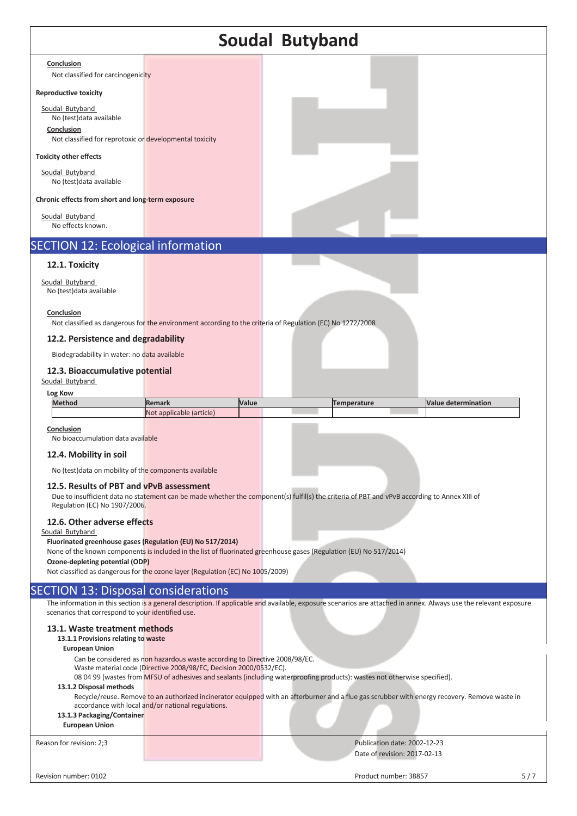### **Soudal Butyband Conclusion**  Not classified for carcinogenicity **Reproductive toxicity**  Soudal Butyband No (test)data available **Conclusion**  Not classified for reprotoxic or developmental toxicity **Toxicity other effects**  Soudal Butyband No (test)data available **Chronic effects from short and long-term exposure**  Soudal Butyband No effects known. SECTION 12: Ecological information **12.1. Toxicity** Soudal Butyband No (test)data available **Conclusion**  Not classified as dangerous for the environment according to the criteria of Regulation (EC) No 1272/2008 **12.2. Persistence and degradability**  Biodegradability in water: no data available **12.3. Bioaccumulative potential** Soudal Butyband **Log Kow Method Remark Value Temperature Value determination** Not applicable (article) **Conclusion**  No bioaccumulation data available **12.4. Mobility in soil**  No (test)data on mobility of the components available **12.5. Results of PBT and vPvB assessment**  Due to insufficient data no statement can be made whether the component(s) fulfil(s) the criteria of PBT and vPvB according to Annex XIII of Regulation (EC) No 1907/2006. **12.6. Other adverse effects**  Soudal Butyband **Fluorinated greenhouse gases (Regulation (EU) No 517/2014)**  None of the known components is included in the list of fluorinated greenhouse gases (Regulation (EU) No 517/2014) **Ozone-depleting potential (ODP)**  Not classified as dangerous for the ozone layer (Regulation (EC) No 1005/2009) **SECTION 13: Disposal considerations** The information in this section is a general description. If applicable and available, exposure scenarios are attached in annex. Always use the relevant exposure scenarios that correspond to your identified use. **13.1. Waste treatment methods 13.1.1 Provisions relating to waste European Union**  Can be considered as non hazardous waste according to Directive 2008/98/EC. Waste material code (Directive 2008/98/EC, Decision 2000/0532/EC). 08 04 99 (wastes from MFSU of adhesives and sealants (including waterproofing products): wastes not otherwise specified). **13.1.2 Disposal methods**  Recycle/reuse. Remove to an authorized incinerator equipped with an afterburner and a flue gas scrubber with energy recovery. Remove waste in accordance with local and/or national regulations. **13.1.3 Packaging/Container**

#### **European Union**

Reason for revision: 2;3 Publication date: 2002-12-23 Date of revision: 2017-02-13

Revision number: 0102 5/7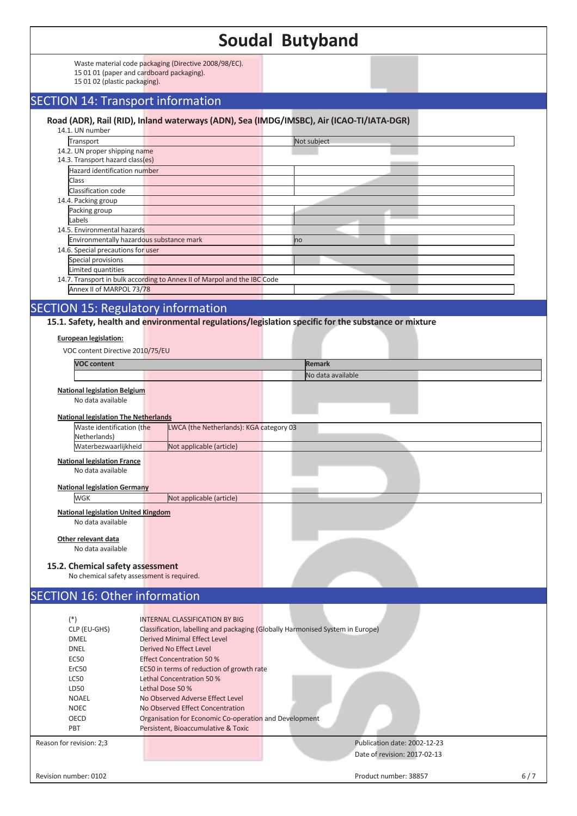|                                                                                                         |                                                                          | <b>Soudal Butyband</b>                                                                   |     |
|---------------------------------------------------------------------------------------------------------|--------------------------------------------------------------------------|------------------------------------------------------------------------------------------|-----|
|                                                                                                         | Waste material code packaging (Directive 2008/98/EC).                    |                                                                                          |     |
| 15 01 02 (plastic packaging).                                                                           | 15 01 01 (paper and cardboard packaging).                                |                                                                                          |     |
|                                                                                                         | <b>SECTION 14: Transport information</b>                                 |                                                                                          |     |
|                                                                                                         |                                                                          | Road (ADR), Rail (RID), Inland waterways (ADN), Sea (IMDG/IMSBC), Air (ICAO-TI/IATA-DGR) |     |
| 14.1. UN number<br>Transport                                                                            |                                                                          | Not subject                                                                              |     |
| 14.2. UN proper shipping name                                                                           |                                                                          |                                                                                          |     |
| 14.3. Transport hazard class(es)                                                                        |                                                                          |                                                                                          |     |
| Hazard identification number                                                                            |                                                                          |                                                                                          |     |
| Class                                                                                                   |                                                                          |                                                                                          |     |
| Classification code                                                                                     |                                                                          |                                                                                          |     |
| 14.4. Packing group                                                                                     |                                                                          |                                                                                          |     |
| Packing group<br>Labels                                                                                 |                                                                          |                                                                                          |     |
| 14.5. Environmental hazards                                                                             |                                                                          |                                                                                          |     |
|                                                                                                         | Environmentally hazardous substance mark                                 | no                                                                                       |     |
| 14.6. Special precautions for user                                                                      |                                                                          |                                                                                          |     |
| Special provisions                                                                                      |                                                                          |                                                                                          |     |
| Limited quantities                                                                                      |                                                                          |                                                                                          |     |
|                                                                                                         | 14.7. Transport in bulk according to Annex II of Marpol and the IBC Code |                                                                                          |     |
| Annex II of MARPOL 73/78                                                                                |                                                                          |                                                                                          |     |
|                                                                                                         | <b>SECTION 15: Regulatory information</b>                                |                                                                                          |     |
| VOC content Directive 2010/75/EU<br><b>VOC content</b>                                                  |                                                                          | <b>Remark</b>                                                                            |     |
|                                                                                                         |                                                                          | No data available                                                                        |     |
| <b>National legislation Belgium</b><br>No data available<br><b>National legislation The Netherlands</b> |                                                                          |                                                                                          |     |
| Waste identification (the                                                                               | LWCA (the Netherlands): KGA category 03                                  |                                                                                          |     |
| Netherlands)                                                                                            |                                                                          |                                                                                          |     |
| Waterbezwaarlijkheid                                                                                    | Not applicable (article)                                                 |                                                                                          |     |
| <b>National legislation France</b><br>No data available                                                 |                                                                          |                                                                                          |     |
| <b>National legislation Germany</b>                                                                     |                                                                          |                                                                                          |     |
| <b>WGK</b>                                                                                              | Not applicable (article)                                                 |                                                                                          |     |
| <b>National legislation United Kingdom</b><br>No data available                                         |                                                                          |                                                                                          |     |
| Other relevant data<br>No data available                                                                |                                                                          |                                                                                          |     |
|                                                                                                         |                                                                          |                                                                                          |     |
| 15.2. Chemical safety assessment                                                                        | No chemical safety assessment is required.                               |                                                                                          |     |
|                                                                                                         |                                                                          |                                                                                          |     |
| <b>SECTION 16: Other information</b>                                                                    |                                                                          |                                                                                          |     |
|                                                                                                         |                                                                          |                                                                                          |     |
| $(*)$                                                                                                   | <b>INTERNAL CLASSIFICATION BY BIG</b>                                    |                                                                                          |     |
| CLP (EU-GHS)                                                                                            |                                                                          | Classification, labelling and packaging (Globally Harmonised System in Europe)           |     |
| <b>DMEL</b><br><b>DNEL</b>                                                                              | <b>Derived Minimal Effect Level</b><br>Derived No Effect Level           |                                                                                          |     |
| <b>EC50</b>                                                                                             | <b>Effect Concentration 50 %</b>                                         |                                                                                          |     |
| ErC50                                                                                                   | EC50 in terms of reduction of growth rate                                |                                                                                          |     |
| <b>LC50</b>                                                                                             | Lethal Concentration 50 %                                                |                                                                                          |     |
| LD50                                                                                                    | Lethal Dose 50 %                                                         |                                                                                          |     |
| <b>NOAEL</b>                                                                                            | No Observed Adverse Effect Level                                         |                                                                                          |     |
| <b>NOEC</b>                                                                                             | No Observed Effect Concentration                                         |                                                                                          |     |
| OECD                                                                                                    | Organisation for Economic Co-operation and Development                   |                                                                                          |     |
| PBT                                                                                                     | Persistent, Bioaccumulative & Toxic                                      |                                                                                          |     |
| Reason for revision: 2;3                                                                                |                                                                          | Publication date: 2002-12-23                                                             |     |
|                                                                                                         |                                                                          |                                                                                          |     |
|                                                                                                         |                                                                          | Date of revision: 2017-02-13                                                             |     |
| Revision number: 0102                                                                                   |                                                                          | Product number: 38857                                                                    | 6/7 |
|                                                                                                         |                                                                          |                                                                                          |     |